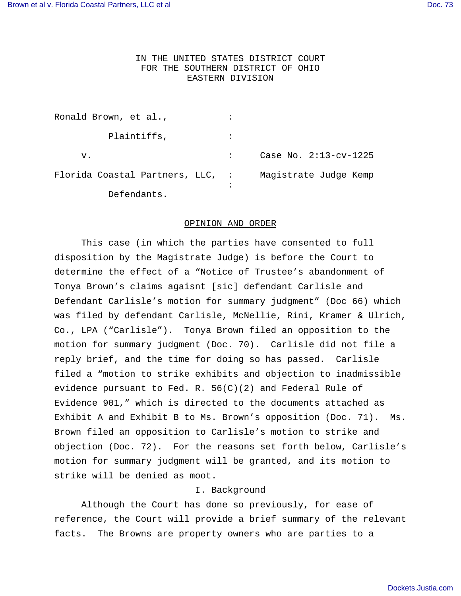# IN THE UNITED STATES DISTRICT COURT FOR THE SOUTHERN DISTRICT OF OHIO EASTERN DIVISION

| Ronald Brown, et al.,            |                         |
|----------------------------------|-------------------------|
| Plaintiffs,                      |                         |
| v.                               | Case No. $2:13-cv-1225$ |
| Florida Coastal Partners, LLC, : | Magistrate Judge Kemp   |
| Defendants.                      |                         |

#### OPINION AND ORDER

This case (in which the parties have consented to full disposition by the Magistrate Judge) is before the Court to determine the effect of a "Notice of Trustee's abandonment of Tonya Brown's claims agaisnt [sic] defendant Carlisle and Defendant Carlisle's motion for summary judgment" (Doc 66) which was filed by defendant Carlisle, McNellie, Rini, Kramer & Ulrich, Co., LPA ("Carlisle"). Tonya Brown filed an opposition to the motion for summary judgment (Doc. 70). Carlisle did not file a reply brief, and the time for doing so has passed. Carlisle filed a "motion to strike exhibits and objection to inadmissible evidence pursuant to Fed. R.  $56(C)(2)$  and Federal Rule of Evidence 901," which is directed to the documents attached as Exhibit A and Exhibit B to Ms. Brown's opposition (Doc. 71). Ms. Brown filed an opposition to Carlisle's motion to strike and objection (Doc. 72). For the reasons set forth below, Carlisle's motion for summary judgment will be granted, and its motion to strike will be denied as moot.

### I. Background

Although the Court has done so previously, for ease of reference, the Court will provide a brief summary of the relevant facts. The Browns are property owners who are parties to a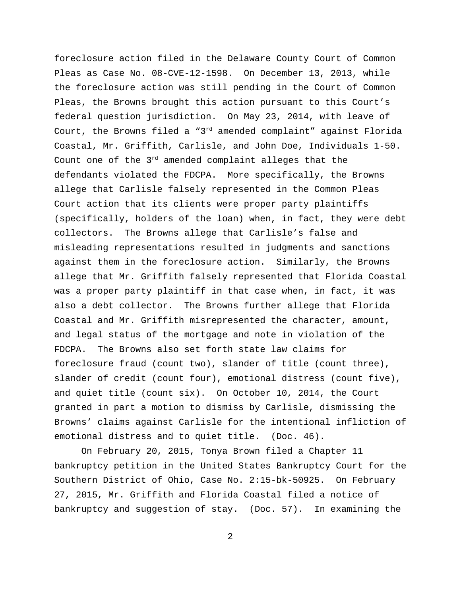foreclosure action filed in the Delaware County Court of Common Pleas as Case No. 08-CVE-12-1598. On December 13, 2013, while the foreclosure action was still pending in the Court of Common Pleas, the Browns brought this action pursuant to this Court's federal question jurisdiction. On May 23, 2014, with leave of Court, the Browns filed a " $3^{rd}$  amended complaint" against Florida Coastal, Mr. Griffith, Carlisle, and John Doe, Individuals 1-50. Count one of the 3rd amended complaint alleges that the defendants violated the FDCPA. More specifically, the Browns allege that Carlisle falsely represented in the Common Pleas Court action that its clients were proper party plaintiffs (specifically, holders of the loan) when, in fact, they were debt collectors. The Browns allege that Carlisle's false and misleading representations resulted in judgments and sanctions against them in the foreclosure action. Similarly, the Browns allege that Mr. Griffith falsely represented that Florida Coastal was a proper party plaintiff in that case when, in fact, it was also a debt collector. The Browns further allege that Florida Coastal and Mr. Griffith misrepresented the character, amount, and legal status of the mortgage and note in violation of the FDCPA. The Browns also set forth state law claims for foreclosure fraud (count two), slander of title (count three), slander of credit (count four), emotional distress (count five), and quiet title (count six). On October 10, 2014, the Court granted in part a motion to dismiss by Carlisle, dismissing the Browns' claims against Carlisle for the intentional infliction of emotional distress and to quiet title. (Doc. 46).

On February 20, 2015, Tonya Brown filed a Chapter 11 bankruptcy petition in the United States Bankruptcy Court for the Southern District of Ohio, Case No. 2:15-bk-50925. On February 27, 2015, Mr. Griffith and Florida Coastal filed a notice of bankruptcy and suggestion of stay. (Doc. 57). In examining the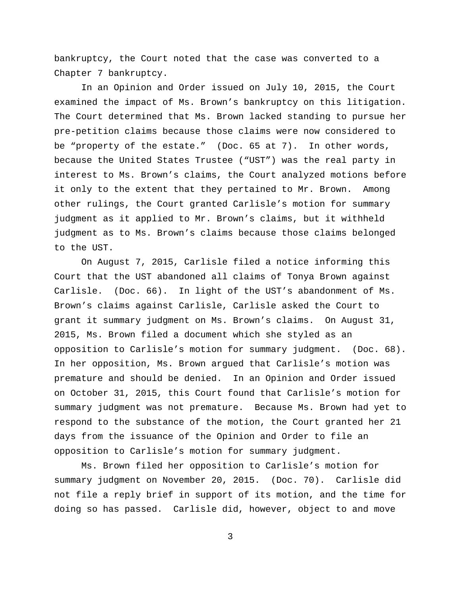bankruptcy, the Court noted that the case was converted to a Chapter 7 bankruptcy.

In an Opinion and Order issued on July 10, 2015, the Court examined the impact of Ms. Brown's bankruptcy on this litigation. The Court determined that Ms. Brown lacked standing to pursue her pre-petition claims because those claims were now considered to be "property of the estate." (Doc. 65 at 7). In other words, because the United States Trustee ("UST") was the real party in interest to Ms. Brown's claims, the Court analyzed motions before it only to the extent that they pertained to Mr. Brown. Among other rulings, the Court granted Carlisle's motion for summary judgment as it applied to Mr. Brown's claims, but it withheld judgment as to Ms. Brown's claims because those claims belonged to the UST.

On August 7, 2015, Carlisle filed a notice informing this Court that the UST abandoned all claims of Tonya Brown against Carlisle. (Doc. 66). In light of the UST's abandonment of Ms. Brown's claims against Carlisle, Carlisle asked the Court to grant it summary judgment on Ms. Brown's claims. On August 31, 2015, Ms. Brown filed a document which she styled as an opposition to Carlisle's motion for summary judgment. (Doc. 68). In her opposition, Ms. Brown argued that Carlisle's motion was premature and should be denied. In an Opinion and Order issued on October 31, 2015, this Court found that Carlisle's motion for summary judgment was not premature. Because Ms. Brown had yet to respond to the substance of the motion, the Court granted her 21 days from the issuance of the Opinion and Order to file an opposition to Carlisle's motion for summary judgment.

Ms. Brown filed her opposition to Carlisle's motion for summary judgment on November 20, 2015. (Doc. 70). Carlisle did not file a reply brief in support of its motion, and the time for doing so has passed. Carlisle did, however, object to and move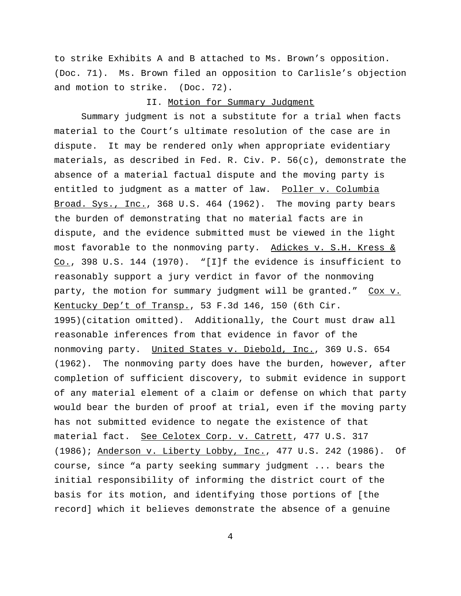to strike Exhibits A and B attached to Ms. Brown's opposition. (Doc. 71). Ms. Brown filed an opposition to Carlisle's objection and motion to strike. (Doc. 72).

### II. Motion for Summary Judgment

Summary judgment is not a substitute for a trial when facts material to the Court's ultimate resolution of the case are in dispute. It may be rendered only when appropriate evidentiary materials, as described in Fed. R. Civ. P. 56(c), demonstrate the absence of a material factual dispute and the moving party is entitled to judgment as a matter of law. Poller v. Columbia Broad. Sys., Inc., 368 U.S. 464 (1962). The moving party bears the burden of demonstrating that no material facts are in dispute, and the evidence submitted must be viewed in the light most favorable to the nonmoving party. Adickes v. S.H. Kress & Co., 398 U.S. 144 (1970). "[I]f the evidence is insufficient to reasonably support a jury verdict in favor of the nonmoving party, the motion for summary judgment will be granted." Cox v. Kentucky Dep't of Transp., 53 F.3d 146, 150 (6th Cir. 1995)(citation omitted). Additionally, the Court must draw all reasonable inferences from that evidence in favor of the nonmoving party. United States v. Diebold, Inc., 369 U.S. 654 (1962). The nonmoving party does have the burden, however, after completion of sufficient discovery, to submit evidence in support of any material element of a claim or defense on which that party would bear the burden of proof at trial, even if the moving party has not submitted evidence to negate the existence of that material fact. See Celotex Corp. v. Catrett, 477 U.S. 317 (1986); Anderson v. Liberty Lobby, Inc., 477 U.S. 242 (1986). Of course, since "a party seeking summary judgment ... bears the initial responsibility of informing the district court of the basis for its motion, and identifying those portions of [the record] which it believes demonstrate the absence of a genuine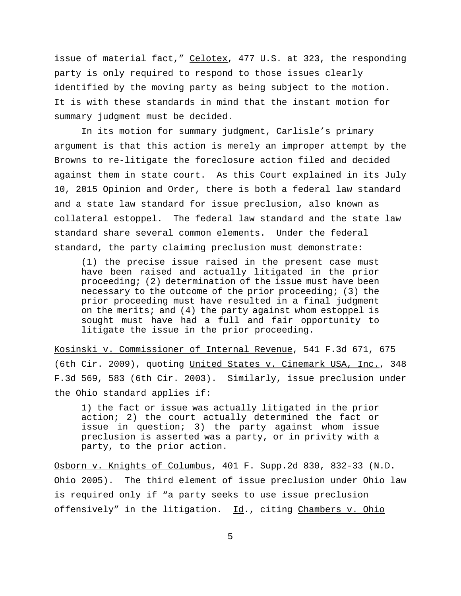issue of material fact," Celotex, 477 U.S. at 323, the responding party is only required to respond to those issues clearly identified by the moving party as being subject to the motion. It is with these standards in mind that the instant motion for summary judgment must be decided.

In its motion for summary judgment, Carlisle's primary argument is that this action is merely an improper attempt by the Browns to re-litigate the foreclosure action filed and decided against them in state court. As this Court explained in its July 10, 2015 Opinion and Order, there is both a federal law standard and a state law standard for issue preclusion, also known as collateral estoppel. The federal law standard and the state law standard share several common elements. Under the federal standard, the party claiming preclusion must demonstrate:

(1) the precise issue raised in the present case must have been raised and actually litigated in the prior proceeding; (2) determination of the issue must have been necessary to the outcome of the prior proceeding; (3) the prior proceeding must have resulted in a final judgment on the merits; and (4) the party against whom estoppel is sought must have had a full and fair opportunity to litigate the issue in the prior proceeding.

Kosinski v. Commissioner of Internal Revenue, 541 F.3d 671, 675 (6th Cir. 2009), quoting United States v. Cinemark USA, Inc., 348 F.3d 569, 583 (6th Cir. 2003). Similarly, issue preclusion under the Ohio standard applies if:

1) the fact or issue was actually litigated in the prior action; 2) the court actually determined the fact or issue in question; 3) the party against whom issue preclusion is asserted was a party, or in privity with a party, to the prior action.

Osborn v. Knights of Columbus, 401 F. Supp.2d 830, 832-33 (N.D. Ohio 2005). The third element of issue preclusion under Ohio law is required only if "a party seeks to use issue preclusion offensively" in the litigation. Id., citing Chambers v. Ohio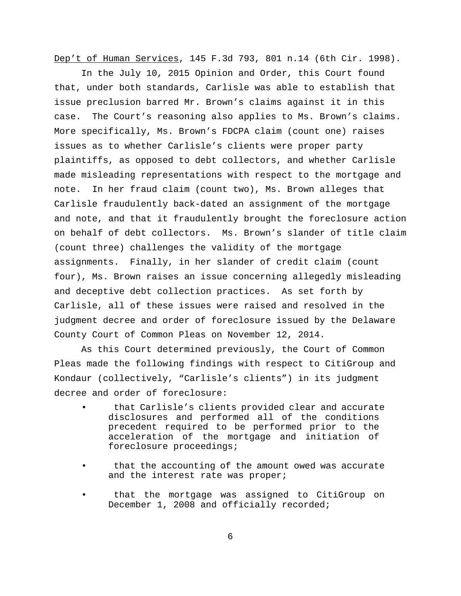Dep't of Human Services, 145 F.3d 793, 801 n.14 (6th Cir. 1998).

In the July 10, 2015 Opinion and Order, this Court found that, under both standards, Carlisle was able to establish that issue preclusion barred Mr. Brown's claims against it in this case. The Court's reasoning also applies to Ms. Brown's claims. More specifically, Ms. Brown's FDCPA claim (count one) raises issues as to whether Carlisle's clients were proper party plaintiffs, as opposed to debt collectors, and whether Carlisle made misleading representations with respect to the mortgage and note. In her fraud claim (count two), Ms. Brown alleges that Carlisle fraudulently back-dated an assignment of the mortgage and note, and that it fraudulently brought the foreclosure action on behalf of debt collectors. Ms. Brown's slander of title claim (count three) challenges the validity of the mortgage assignments. Finally, in her slander of credit claim (count four), Ms. Brown raises an issue concerning allegedly misleading and deceptive debt collection practices. As set forth by Carlisle, all of these issues were raised and resolved in the judgment decree and order of foreclosure issued by the Delaware County Court of Common Pleas on November 12, 2014.

As this Court determined previously, the Court of Common Pleas made the following findings with respect to CitiGroup and Kondaur (collectively, "Carlisle's clients") in its judgment decree and order of foreclosure:

- that Carlisle's clients provided clear and accurate disclosures and performed all of the conditions precedent required to be performed prior to the acceleration of the mortgage and initiation of foreclosure proceedings;
- that the accounting of the amount owed was accurate and the interest rate was proper;
- that the mortgage was assigned to CitiGroup on December 1, 2008 and officially recorded;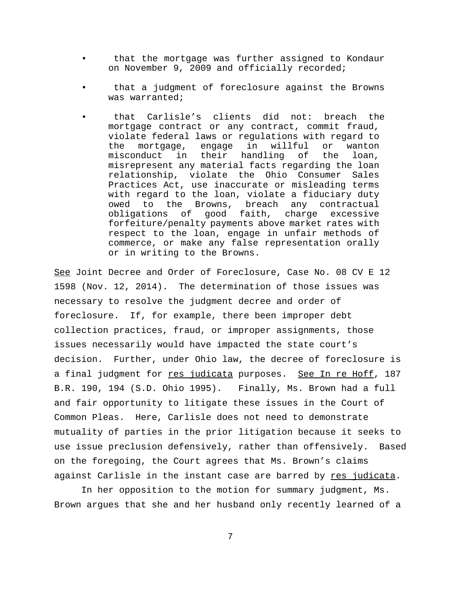- that the mortgage was further assigned to Kondaur on November 9, 2009 and officially recorded;
- that a judgment of foreclosure against the Browns was warranted;
- that Carlisle's clients did not: breach the mortgage contract or any contract, commit fraud, violate federal laws or regulations with regard to the mortgage, engage in willful or wanton misconduct in their handling of the loan, misrepresent any material facts regarding the loan relationship, violate the Ohio Consumer Sales Practices Act, use inaccurate or misleading terms with regard to the loan, violate a fiduciary duty owed to the Browns, breach any contractual obligations of good faith, charge excessive forfeiture/penalty payments above market rates with respect to the loan, engage in unfair methods of commerce, or make any false representation orally or in writing to the Browns.

See Joint Decree and Order of Foreclosure, Case No. 08 CV E 12 1598 (Nov. 12, 2014). The determination of those issues was necessary to resolve the judgment decree and order of foreclosure. If, for example, there been improper debt collection practices, fraud, or improper assignments, those issues necessarily would have impacted the state court's decision. Further, under Ohio law, the decree of foreclosure is a final judgment for res judicata purposes. See In re Hoff, 187 B.R. 190, 194 (S.D. Ohio 1995). Finally, Ms. Brown had a full and fair opportunity to litigate these issues in the Court of Common Pleas. Here, Carlisle does not need to demonstrate mutuality of parties in the prior litigation because it seeks to use issue preclusion defensively, rather than offensively. Based on the foregoing, the Court agrees that Ms. Brown's claims against Carlisle in the instant case are barred by res judicata.

In her opposition to the motion for summary judgment, Ms. Brown argues that she and her husband only recently learned of a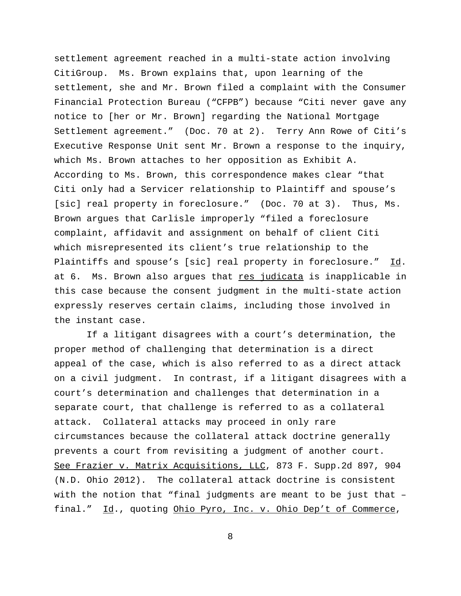settlement agreement reached in a multi-state action involving CitiGroup. Ms. Brown explains that, upon learning of the settlement, she and Mr. Brown filed a complaint with the Consumer Financial Protection Bureau ("CFPB") because "Citi never gave any notice to [her or Mr. Brown] regarding the National Mortgage Settlement agreement." (Doc. 70 at 2). Terry Ann Rowe of Citi's Executive Response Unit sent Mr. Brown a response to the inquiry, which Ms. Brown attaches to her opposition as Exhibit A. According to Ms. Brown, this correspondence makes clear "that Citi only had a Servicer relationship to Plaintiff and spouse's [sic] real property in foreclosure." (Doc. 70 at 3). Thus, Ms. Brown argues that Carlisle improperly "filed a foreclosure complaint, affidavit and assignment on behalf of client Citi which misrepresented its client's true relationship to the Plaintiffs and spouse's [sic] real property in foreclosure." Id. at 6. Ms. Brown also argues that res judicata is inapplicable in this case because the consent judgment in the multi-state action expressly reserves certain claims, including those involved in the instant case.

 If a litigant disagrees with a court's determination, the proper method of challenging that determination is a direct appeal of the case, which is also referred to as a direct attack on a civil judgment. In contrast, if a litigant disagrees with a court's determination and challenges that determination in a separate court, that challenge is referred to as a collateral attack. Collateral attacks may proceed in only rare circumstances because the collateral attack doctrine generally prevents a court from revisiting a judgment of another court. See Frazier v. Matrix Acquisitions, LLC, 873 F. Supp.2d 897, 904 (N.D. Ohio 2012). The collateral attack doctrine is consistent with the notion that "final judgments are meant to be just that – final." Id., quoting Ohio Pyro, Inc. v. Ohio Dep't of Commerce,